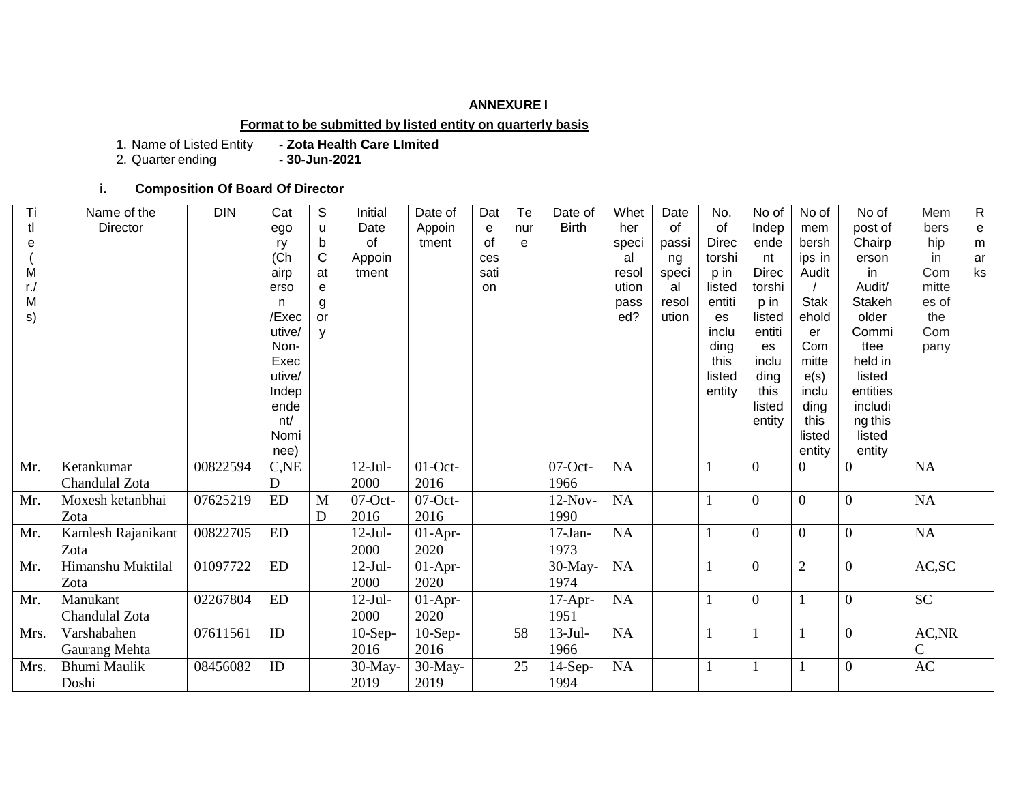#### **ANNEXURE I**

### **Format to be submitted by listed entity on quarterly basis**

1. Name of Listed Entity **- Zota Health Care LImited**

2. Quarter ending **- 30-Jun-2021**

## **i. Composition Of Board Of Director**

| Τi   | Name of the         | <b>DIN</b> | Cat            | S            | Initial    | Date of    | Dat  | Te  | Date of      | Whet      | Date  | No.              | No of            | No of          | No of             | Mem          | $\mathsf{R}$ |
|------|---------------------|------------|----------------|--------------|------------|------------|------|-----|--------------|-----------|-------|------------------|------------------|----------------|-------------------|--------------|--------------|
| tl   | Director            |            | ego            | u            | Date       | Appoin     | e    | nur | <b>Birth</b> | her       | of    | of               | Indep            | mem            | post of           | bers         | e            |
| e    |                     |            | ry             | b            | of         | tment      | of   | e   |              | speci     | passi | <b>Direc</b>     | ende             | bersh          | Chairp            | hip          | m            |
|      |                     |            | (Ch            | $\mathsf{C}$ | Appoin     |            | ces  |     |              | al        | ng    | torshi           | nt               | ips in         | erson             | in           | ar           |
| M    |                     |            | airp           | at           | tment      |            | sati |     |              | resol     | speci | p in             | <b>Direc</b>     | Audit          | in                | Com          | ks           |
| r./  |                     |            | erso           | e            |            |            | on.  |     |              | ution     | al    | listed           | torshi           |                | Audit/            | mitte        |              |
| M    |                     |            | n              | g            |            |            |      |     |              | pass      | resol | entiti           | p in             | <b>Stak</b>    | <b>Stakeh</b>     | es of        |              |
| s)   |                     |            | /Exec          | or           |            |            |      |     |              | ed?       | ution | es               | listed           | ehold          | older             | the          |              |
|      |                     |            | utive/         | y            |            |            |      |     |              |           |       | inclu            | entiti           | er             | Commi             | Com          |              |
|      |                     |            | Non-           |              |            |            |      |     |              |           |       | ding             | es               | Com            | ttee              | pany         |              |
|      |                     |            | Exec<br>utive/ |              |            |            |      |     |              |           |       | this             | inclu            | mitte          | held in<br>listed |              |              |
|      |                     |            | Indep          |              |            |            |      |     |              |           |       | listed<br>entity | ding<br>this     | e(s)<br>inclu  | entities          |              |              |
|      |                     |            | ende           |              |            |            |      |     |              |           |       |                  | listed           | ding           | includi           |              |              |
|      |                     |            | nt/            |              |            |            |      |     |              |           |       |                  | entity           | this           | ng this           |              |              |
|      |                     |            | Nomi           |              |            |            |      |     |              |           |       |                  |                  | listed         | listed            |              |              |
|      |                     |            | nee)           |              |            |            |      |     |              |           |       |                  |                  | entity         | entity            |              |              |
| Mr.  | Ketankumar          | 00822594   | C,NE           |              | $12-Jul-$  | $01$ -Oct- |      |     | $07$ -Oct-   | <b>NA</b> |       |                  | $\overline{0}$   | $\overline{0}$ | $\overline{0}$    | <b>NA</b>    |              |
|      | Chandulal Zota      |            | D              |              | 2000       | 2016       |      |     | 1966         |           |       |                  |                  |                |                   |              |              |
| Mr.  | Moxesh ketanbhai    | 07625219   | ED             | M            | $07$ -Oct- | $07$ -Oct- |      |     | $12-Nov-$    | NA        |       |                  | $\boldsymbol{0}$ | $\overline{0}$ | $\overline{0}$    | NA           |              |
|      | Zota                |            |                | D            | 2016       | 2016       |      |     | 1990         |           |       |                  |                  |                |                   |              |              |
| Mr.  | Kamlesh Rajanikant  | 00822705   | ${\rm ED}$     |              | $12-Jul-$  | $01-Apr-$  |      |     | $17-Jan-$    | NA        |       |                  | $\overline{0}$   | $\overline{0}$ | $\overline{0}$    | NA           |              |
|      | Zota                |            |                |              | 2000       | 2020       |      |     | 1973         |           |       |                  |                  |                |                   |              |              |
| Mr.  | Himanshu Muktilal   | 01097722   | ${\rm ED}$     |              | $12-Jul-$  | $01-Apr-$  |      |     | 30-May-      | <b>NA</b> |       |                  | $\boldsymbol{0}$ | $\overline{2}$ | $\overline{0}$    | AC, SC       |              |
|      | Zota                |            |                |              | 2000       | 2020       |      |     | 1974         |           |       |                  |                  |                |                   |              |              |
| Mr.  | Manukant            | 02267804   | ${\rm ED}$     |              | $12-Jul-$  | $01-Apr-$  |      |     | $17-Apr-$    | NA        |       |                  | $\overline{0}$   |                | $\overline{0}$    | <b>SC</b>    |              |
|      | Chandulal Zota      |            |                |              | 2000       | 2020       |      |     | 1951         |           |       |                  |                  |                |                   |              |              |
| Mrs. | Varshabahen         | 07611561   | ID             |              | $10-Sep-$  | $10-Sep-$  |      | 58  | $13-Jul-$    | NA        |       |                  |                  |                | $\overline{0}$    | AC, NR       |              |
|      | Gaurang Mehta       |            |                |              | 2016       | 2016       |      |     | 1966         |           |       |                  |                  |                |                   | $\mathsf{C}$ |              |
| Mrs. | <b>Bhumi Maulik</b> | 08456082   | ID             |              | 30-May-    | $30-May-$  |      | 25  | $14-Sep-$    | $\rm NA$  |       |                  |                  |                | $\overline{0}$    | AC           |              |
|      | Doshi               |            |                |              | 2019       | 2019       |      |     | 1994         |           |       |                  |                  |                |                   |              |              |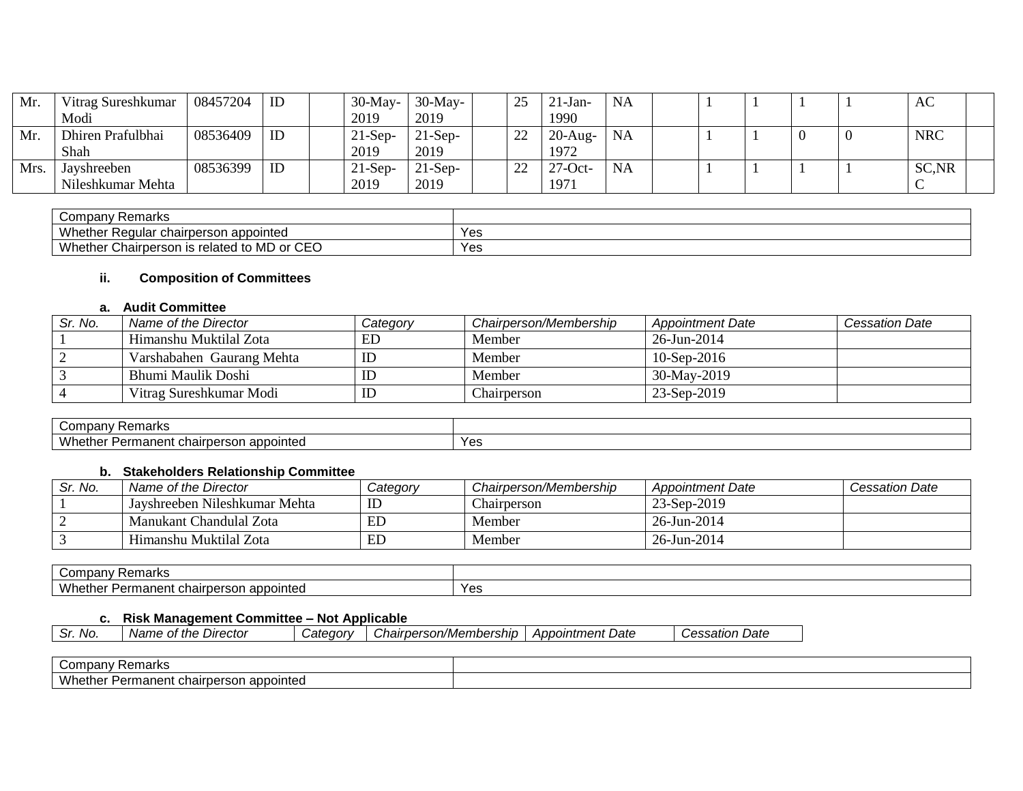| Mr. | Vitrag Sureshkumar | 08457204 | ID | 30-May-   | $30-May-$ | つぐ<br>~∼                       | $21-Jan-$  | <b>NA</b> |  |  | AC         |
|-----|--------------------|----------|----|-----------|-----------|--------------------------------|------------|-----------|--|--|------------|
|     | Modi               |          |    | 2019      | 2019      |                                | 1990       |           |  |  |            |
| Mr. | Dhiren Prafulbhai  | 08536409 | ID | $21-Sep-$ | $21-Sep-$ | າາ<br>$\overline{\phantom{a}}$ | $20$ -Aug- | <b>NA</b> |  |  | <b>NRC</b> |
|     | Shah               |          |    | 2019      | 2019      |                                | 1972       |           |  |  |            |
| Mrs | Jayshreeben        | 08536399 | ID | $21-Sep$  | $21-Sep-$ | າາ<br>∸                        | $27$ -Oct- | <b>NA</b> |  |  | SC, NR     |
|     | Nileshkumar Mehta  |          |    | 2019      | 2019      |                                | 1971       |           |  |  | ◡          |

| Company Remarks                                                                                                                |     |
|--------------------------------------------------------------------------------------------------------------------------------|-----|
| Whether Regular u<br>chairperson appointed                                                                                     | Yes |
| $\sim$ $\sim$ $\sim$<br><b>Whether</b><br>$\ldots$ is related to M <sup>P</sup><br>$\cap$ r<br>: Chairperson<br>וט שועו<br>◡∟◡ | Yes |

## **ii. Composition of Committees**

## **a. Audit Committee**

| Sr. No. | Name of the Director      | Category | Chairperson/Membership | <b>Appointment Date</b> | <b>Cessation Date</b> |
|---------|---------------------------|----------|------------------------|-------------------------|-----------------------|
|         | Himanshu Muktilal Zota    | ED       | Member                 | 26-Jun-2014             |                       |
|         | Varshabahen Gaurang Mehta | ID       | Member                 | $10$ -Sep-2016          |                       |
|         | Bhumi Maulik Doshi        |          | Member                 | 30-May-2019             |                       |
|         | Vitrag Sureshkumar Modi   | ΙD       | Chairperson            | 23-Sep-2019             |                       |

| $\sim$<br>narks                                                    |                     |
|--------------------------------------------------------------------|---------------------|
| $\mathbf{M}$<br>appointed<br>71 I I C<br>anciit<br>.<br>A J L<br>v | $V_{\alpha}$<br>נ ס |

## **b. Stakeholders Relationship Committee**

| Sr. No. | Name of the Director          | Category | Chairperson/Membership | <b>Appointment Date</b> | <b>Cessation Date</b> |
|---------|-------------------------------|----------|------------------------|-------------------------|-----------------------|
|         | Jayshreeben Nileshkumar Mehta | ID       | $\sim$<br>hairperson   | 23-Sep-2019             |                       |
|         | Manukant Chandulal Zota       | ED       | Member                 | 26-Jun-2014             |                       |
|         | Himanshu Muktilal Zota        | ED       | Member                 | 26-Jun-2014             |                       |

| ∵ompanvٽ<br>Remarks                                                                        |     |
|--------------------------------------------------------------------------------------------|-----|
| <b>M/h</b><br>onn<br>pointed<br>chairpersor<br>י הנו<br><u>_</u><br>еннаг<br>auu<br>.<br>. | Yes |

## **c. Risk Management Committee – Not Applicable**

|  | $\sim$<br>No.<br>Sr. | e of the<br>. Director<br>Name | ategorvٽ | Chairperson/Membership | <b>Appointment Date</b> | Date<br>Cessation |
|--|----------------------|--------------------------------|----------|------------------------|-------------------------|-------------------|
|--|----------------------|--------------------------------|----------|------------------------|-------------------------|-------------------|

| ∽<br>Remarks<br>∴ompanٽ                             |  |
|-----------------------------------------------------|--|
| Whether<br>appointed<br>Permanent.<br>.or<br>ᄓ<br>. |  |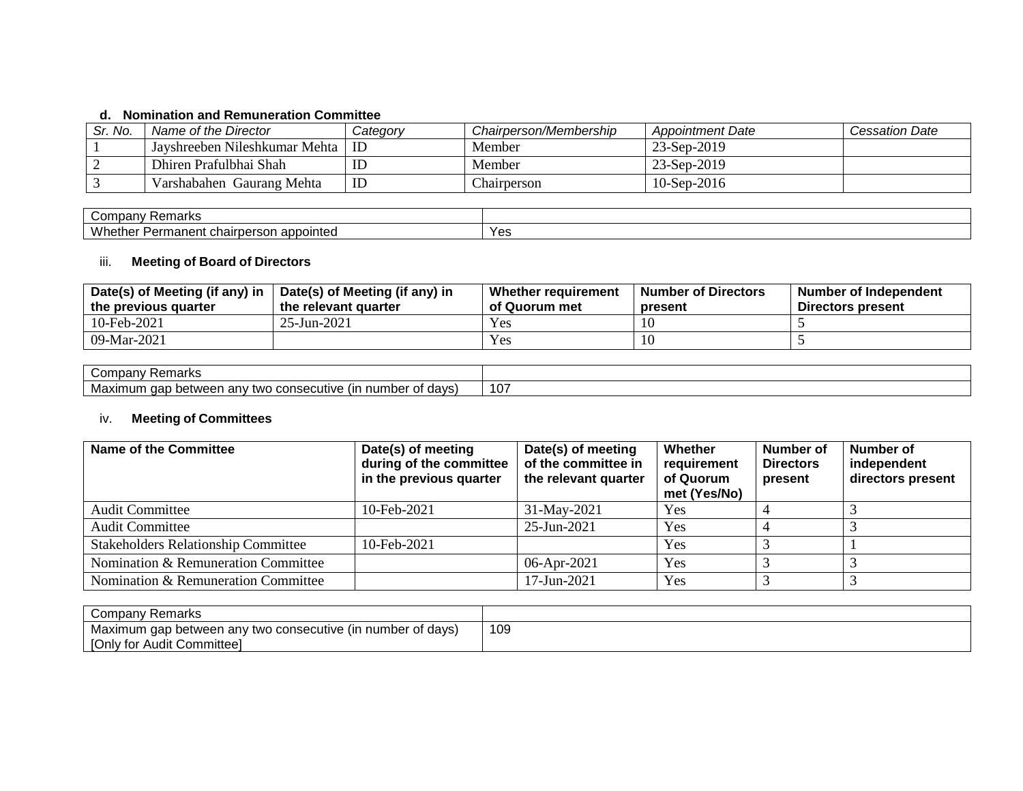## **d. Nomination and Remuneration Committee**

| Sr. No. | Name of the Director          | Category | Chairperson/Membership | <b>Appointment Date</b> | Cessation Date |
|---------|-------------------------------|----------|------------------------|-------------------------|----------------|
|         | Jayshreeben Nileshkumar Mehta | ID       | Member                 | 23-Sep-2019             |                |
|         | Dhiren Prafulbhai Shah        | IΓ       | Member                 | 23-Sep-2019             |                |
|         | Varshabahen Gaurang Mehta     | ID       | hairperson_            | $10-$ Sep $-2016$       |                |

| .<br>Cor<br>Remarks<br>.panv                                               |                     |
|----------------------------------------------------------------------------|---------------------|
| $\lambda$<br>appointed<br>'Vn.<br>'ermanen<br>.<br>rberson<br>n ulldi<br>. | $V$ $\alpha$<br>-53 |

## iii. **Meeting of Board of Directors**

| Date(s) of Meeting (if any) in | Date(s) of Meeting (if any) in | Whether requirement | <b>Number of Directors</b> | Number of Independent |
|--------------------------------|--------------------------------|---------------------|----------------------------|-----------------------|
| the previous quarter           | the relevant quarter           | of Quorum met       | present                    | Directors present     |
| 10-Feb-2021                    | 25-Jun-2021                    | Yes                 |                            |                       |
| 09-Mar-2021                    |                                | Yes                 |                            |                       |

| ⊸omp<br>iai NS<br>' פוי                                                         |                         |
|---------------------------------------------------------------------------------|-------------------------|
| ~~~<br>davs<br>betweer<br>วxımum<br>τw<br>ำทร⊾.<br>ecutiv<br>…d∐ v ∵<br>ua<br>ີ | $\lambda$ $\sim$<br>10. |

# iv. **Meeting of Committees**

| <b>Name of the Committee</b>               | Date(s) of meeting<br>during of the committee<br>in the previous quarter | Date(s) of meeting<br>of the committee in<br>the relevant quarter | Whether<br>requirement<br>of Quorum<br>met (Yes/No) | Number of<br><b>Directors</b><br>present | Number of<br>independent<br>directors present |
|--------------------------------------------|--------------------------------------------------------------------------|-------------------------------------------------------------------|-----------------------------------------------------|------------------------------------------|-----------------------------------------------|
| <b>Audit Committee</b>                     | 10-Feb-2021                                                              | 31-May-2021                                                       | Yes                                                 |                                          |                                               |
| <b>Audit Committee</b>                     |                                                                          | 25-Jun-2021                                                       | <b>Yes</b>                                          |                                          |                                               |
| <b>Stakeholders Relationship Committee</b> | 10-Feb-2021                                                              |                                                                   | Yes                                                 |                                          |                                               |
| Nomination & Remuneration Committee        |                                                                          | $06$ -Apr-2021                                                    | Yes                                                 |                                          |                                               |
| Nomination & Remuneration Committee        |                                                                          | 17-Jun-2021                                                       | Yes                                                 |                                          |                                               |

| Company ∂<br>' Remarks                                      |     |
|-------------------------------------------------------------|-----|
| Maximum gap between any two consecutive (in number of days) | 109 |
| [Only for Audit Committee]                                  |     |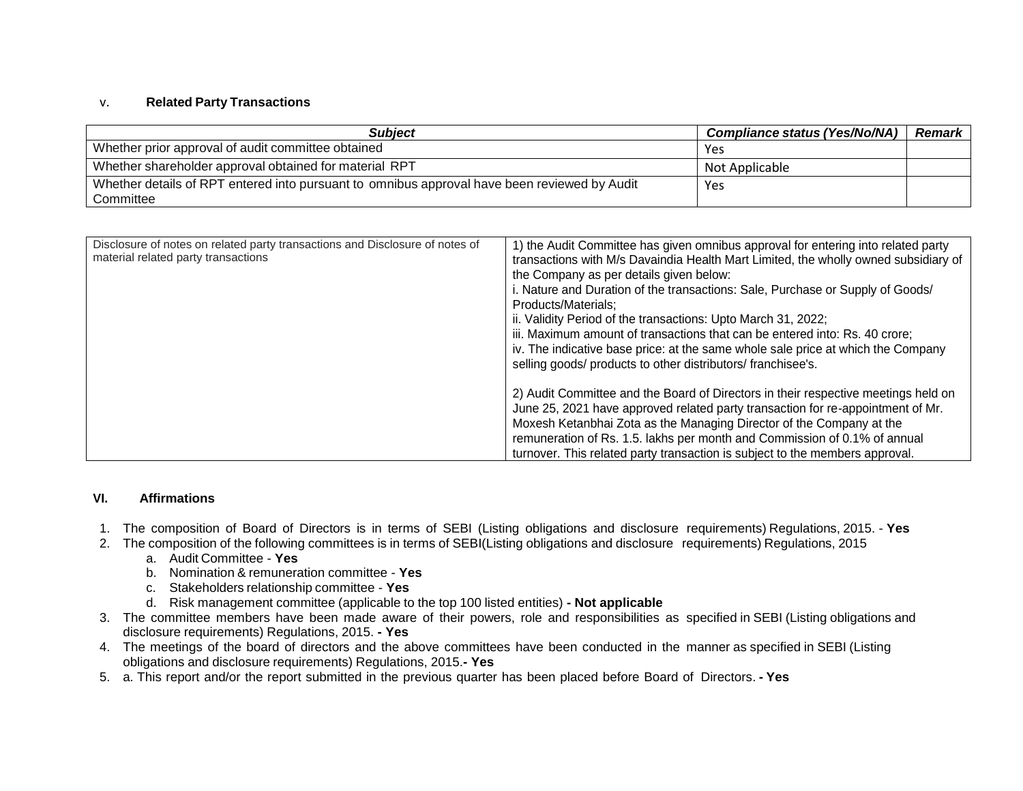#### v. **Related Party Transactions**

| <b>Subject</b>                                                                               | <b>Compliance status (Yes/No/NA)</b> | <b>Remark</b> |
|----------------------------------------------------------------------------------------------|--------------------------------------|---------------|
| Whether prior approval of audit committee obtained                                           | Yes                                  |               |
| Whether shareholder approval obtained for material RPT                                       | Not Applicable                       |               |
| Whether details of RPT entered into pursuant to omnibus approval have been reviewed by Audit | Yes                                  |               |
| Committee                                                                                    |                                      |               |

| Disclosure of notes on related party transactions and Disclosure of notes of<br>material related party transactions | 1) the Audit Committee has given omnibus approval for entering into related party   |
|---------------------------------------------------------------------------------------------------------------------|-------------------------------------------------------------------------------------|
|                                                                                                                     | transactions with M/s Davaindia Health Mart Limited, the wholly owned subsidiary of |
|                                                                                                                     | the Company as per details given below:                                             |
|                                                                                                                     | . Nature and Duration of the transactions: Sale, Purchase or Supply of Goods/       |
|                                                                                                                     | Products/Materials:                                                                 |
|                                                                                                                     | ii. Validity Period of the transactions: Upto March 31, 2022;                       |
|                                                                                                                     | iii. Maximum amount of transactions that can be entered into: Rs. 40 crore;         |
|                                                                                                                     | iv. The indicative base price: at the same whole sale price at which the Company    |
|                                                                                                                     | selling goods/ products to other distributors/ franchisee's.                        |
|                                                                                                                     | 2) Audit Committee and the Board of Directors in their respective meetings held on  |
|                                                                                                                     | June 25, 2021 have approved related party transaction for re-appointment of Mr.     |
|                                                                                                                     | Moxesh Ketanbhai Zota as the Managing Director of the Company at the                |
|                                                                                                                     |                                                                                     |
|                                                                                                                     | remuneration of Rs. 1.5. lakhs per month and Commission of 0.1% of annual           |
|                                                                                                                     | turnover. This related party transaction is subject to the members approval.        |

#### **VI. Affirmations**

- 1. The composition of Board of Directors is in terms of SEBI (Listing obligations and disclosure requirements) Regulations, 2015. **Yes**
- 2. The composition of the following committees is in terms of SEBI(Listing obligations and disclosure requirements) Regulations, 2015
	- a. Audit Committee **Yes**
	- b. Nomination & remuneration committee **Yes**
	- c. Stakeholders relationship committee **Yes**
	- d. Risk management committee (applicable to the top 100 listed entities) **- Not applicable**
- 3. The committee members have been made aware of their powers, role and responsibilities as specified in SEBI (Listing obligations and disclosure requirements) Regulations, 2015. **- Yes**
- 4. The meetings of the board of directors and the above committees have been conducted in the manner as specified in SEBI (Listing obligations and disclosure requirements) Regulations, 2015.**- Yes**
- 5. a. This report and/or the report submitted in the previous quarter has been placed before Board of Directors. **- Yes**